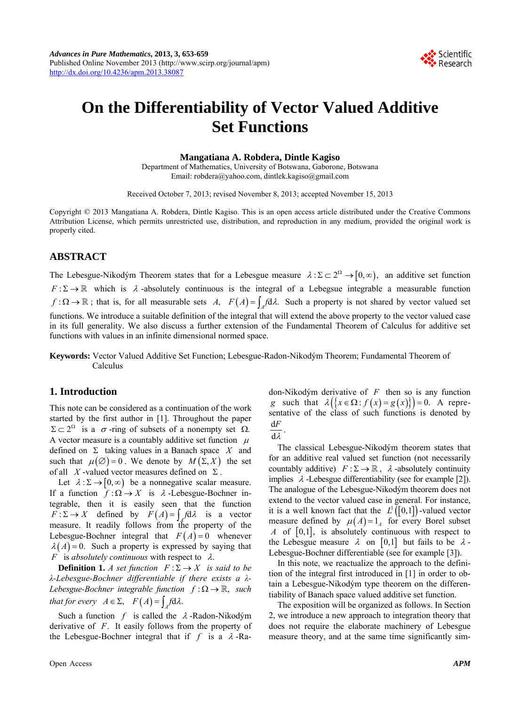

# **On the Differentiability of Vector Valued Additive Set Functions**

**Mangatiana A. Robdera, Dintle Kagiso** 

Department of Mathematics, University of Botswana, Gaborone, Botswana Email: robdera@yahoo.com, dintlek.kagiso@gmail.com

Received October 7, 2013; revised November 8, 2013; accepted November 15, 2013

Copyright © 2013 Mangatiana A. Robdera, Dintle Kagiso. This is an open access article distributed under the Creative Commons Attribution License, which permits unrestricted use, distribution, and reproduction in any medium, provided the original work is properly cited.

# **ABSTRACT**

The Lebesgue-Nikodým Theorem states that for a Lebesgue measure  $\lambda : \Sigma \subset 2^{\Omega} \to [0, \infty)$ , an additive set function  $F: \Sigma \to \mathbb{R}$  which is  $\lambda$ -absolutely continuous is the integral of a Lebegsue integrable a measurable function  $f: \Omega \to \mathbb{R}$ ; that is, for all measurable sets *A*,  $F(A) = \int f d\lambda$ . Such a property is not shared by vector valued set functions. We introduce a suitable definition of the integral that will extend the above property to the vector valued case in its full generality. We also discuss a further extension of the Fundamental Theorem of Calculus for additive set functions with values in an infinite dimensional normed space.

**Keywords:** Vector Valued Additive Set Function; Lebesgue-Radon-Nikodým Theorem; Fundamental Theorem of Calculus

## **1. Introduction**

This note can be considered as a continuation of the work started by the first author in [1]. Throughout the paper  $\Sigma \subset 2^{\Omega}$  is a  $\sigma$ -ring of subsets of a nonempty set  $\Omega$ . A vector measure is a countably additive set function  $\mu$ defined on  $\Sigma$  taking values in a Banach space X and such that  $\mu(\emptyset) = 0$ . We denote by  $M(\Sigma, X)$  the set of all  $X$ -valued vector measures defined on  $\Sigma$ .

Let  $\lambda : \Sigma \to [0, \infty)$  be a nonnegative scalar measure. If a function  $f : \Omega \to X$  is  $\lambda$ -Lebesgue-Bochner integrable, then it is easily seen that the function  $F: \Sigma \to X$  defined by  $F(A) = \int_A f d\lambda$  is a vector Lebesgue-Bochner integral that  $F(A) = 0$  whenever measure. It readily follows from the property of the  $\lambda(A) = 0$ . Such a property is expressed by saying that *F* is *absolutely continuous* with respect to  $\lambda$ .

**Definition 1.** *A set function*  $F : \Sigma \to X$  *is said to be Lebesgue-Bochner integrable function*  $f : \Omega \to \mathbb{R}$ , *such λ-Lebesgue-Bochner differentiable if there exists a λthat for every*  $A \in \Sigma$ ,  $F(A) = \int f d\lambda$ .

Such a function  $f$  is called the  $\lambda$ -Radon-Nikodým derivative of *F*. It easily follows from the property of the Lebesgue-Bochner integral that if  $f$  is a  $\lambda$ -Ra-

Open Access *APM*

don-Nikodým derivative of *F* then so is any function *g* such that  $\lambda(\{x \in \Omega : f(x) = g(x)\}) = 0$ . A representative of the class of such functions is denoted by d *F* .

dλ

The classical Lebesgue-Nikodým theorem states that for an additive real valued set function (not necessarily countably additive)  $F: \Sigma \to \mathbb{R}$ ,  $\lambda$ -absolutely continuity implies  $\lambda$  -Lebesgue differentiability (see for example [2]). The analogue of the Lebesgue-Nikodým theorem does not extend to the vector valued case in general. For instance, it is a well known fact that the  $L^1([0,1])$ -valued vector measure defined by  $\mu(A) = 1_A$  for every Borel subset *A* of  $[0,1]$ , is absolutely continuous with respect to the Lebesgue measure  $\lambda$  on [0,1] but fails to be  $\lambda$ -Lebesgue-Bochner differentiable (see for example [3]).

In this note, we reactualize the approach to the definition of the integral first introduced in [1] in order to obtain a Lebesgue-Nikodým type theorem on the differentiability of Banach space valued additive set function.

The exposition will be organized as follows. In Section 2, we introduce a new approach to integration theory that does not require the elaborate machinery of Lebesgue measure theory, and at the same time significantly sim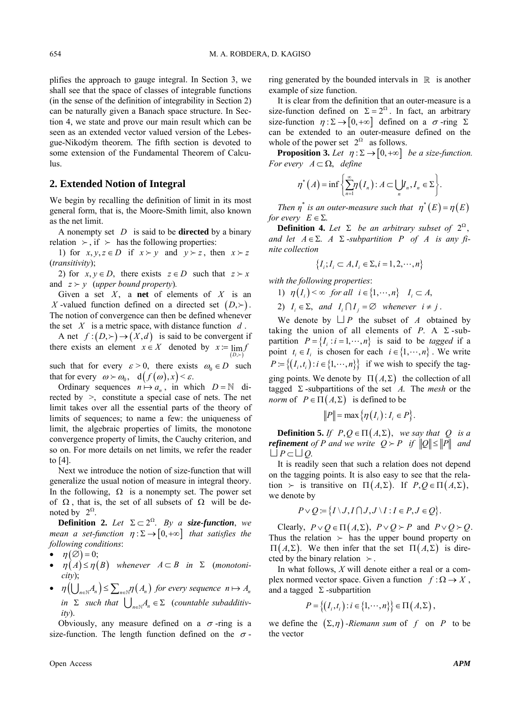plifies the approach to gauge integral. In Section 3, we shall see that the space of classes of integrable functions (in the sense of the definition of integrability in Section 2) can be naturally given a Banach space structure. In Section 4, we state and prove our main result which can be seen as an extended vector valued version of the Lebesgue-Nikodým theorem. The fifth section is devoted to some extension of the Fundamental Theorem of Calculus.

#### **2. Extended Notion of Integral**

We begin by recalling the definition of limit in its most general form, that is, the Moore-Smith limit, also known as the net limit.

A nonempty set *D* is said to be **directed** by a binary relation  $\rightarrow$ , if  $\rightarrow$  has the following properties:

1) for  $x, y, z \in D$  if  $x \succ y$  and  $y \succ z$ , then  $x \succ z$ (*transitivity*);

2) for  $x, y \in D$ , there exists  $z \in D$  such that  $z > x$ and  $z \succ y$  (*upper bound property*).

Given a set *X*, a **net** of elements of *X* is an *X* -valued function defined on a directed set  $(D, \succ)$ . The notion of convergence can then be defined whenever the set  $X$  is a metric space, with distance function  $d$ .

A net  $f:(D,\rightarrow) \rightarrow (X,d)$  is said to be convergent if there exists an element  $x \in X$  denoted by  $x = \lim f$  $(D,\succ)$ *D* ≻

such that for every  $\varepsilon > 0$ , there exists  $\omega_0 \in D$  such that for every  $\omega > \omega_0$ ,  $d(f(\omega), x) < \varepsilon$ .

Ordinary sequences  $n \mapsto a_n$ , in which  $D = \mathbb{N}$  directed by  $\ge$ , constitute a special case of nets. The net limit takes over all the essential parts of the theory of limits of sequences; to name a few: the uniqueness of limit, the algebraic properties of limits, the monotone convergence property of limits, the Cauchy criterion, and so on. For more details on net limits, we refer the reader to [4].

Next we introduce the notion of size-function that will generalize the usual notion of measure in integral theory. In the following,  $\Omega$  is a nonempty set. The power set of  $\Omega$ , that is, the set of all subsets of  $\Omega$  will be denoted by  $2^{\Omega}$ .

**Definition 2.** Let  $\Sigma \subset 2^{\Omega}$ . By a size-function, we *mean a set-function*  $\eta : \Sigma \to [0, +\infty]$  that satisfies the *following conditions*:

• 
$$
\eta(\emptyset) = 0;
$$

- $\eta(A) \leq \eta(B)$  whenever  $A \subset B$  in  $\Sigma$  (monotoni*city*);
- $\eta\left(\bigcup_{n\in\mathbb{N}}A_n\right)\leq\sum_{n\in\mathbb{N}}\eta\left(A_n\right)$  for every sequence  $n\mapsto A_n$ in  $\Sigma$  *such that*  $\bigcup_{n\in\mathbb{N}} A_n \in \Sigma$  (countable subadditiv*ity*).

Obviously, any measure defined on a  $\sigma$ -ring is a size-function. The length function defined on the  $\sigma$ -

ring generated by the bounded intervals in  $\mathbb R$  is another example of size function.

It is clear from the definition that an outer-measure is a size-function defined on  $\Sigma = 2^{\Omega}$ . In fact, an arbitrary size-function  $\eta : \Sigma \to [0, +\infty]$  defined on a  $\sigma$ -ring  $\Sigma$ can be extended to an outer-measure defined on the whole of the power set  $2^{\Omega}$  as follows.

**Proposition 3.** Let  $\eta : \Sigma \to [0, +\infty]$  be a size-function. *For every*  $A \subset \Omega$ *, define* 

$$
\eta^*(A) = \inf \left\{ \sum_{n=1}^{\infty} \eta(I_n) : A \subset \bigcup_n I_n, I_n \in \Sigma \right\}.
$$

*Then*  $\eta^*$  *is an outer-measure such that*  $\eta^*(E) = \eta(E)$ *for every*  $E \in \Sigma$ .

**Definition 4.** Let  $\Sigma$  be an arbitrary subset of  $2^{\Omega}$ . and let  $A \in \Sigma$ . A  $\Sigma$ -subpartition P of A is any fi*nite collection*

$$
\{I_i; I_i \subset A, I_i \in \Sigma, i = 1, 2, \cdots, n\}
$$

*with the following properties*:

1)  $\eta(I_i) < \infty$  for all  $i \in \{1, \dots, n\}$   $I_i \subset A$ ,

2)  $I_i \in \Sigma$ , and  $I_i \cap I_j = \emptyset$  whenever  $i \neq j$ .

We denote by  $\Box P$  the subset of *A* obtained by taking the union of all elements of  $P$ . A  $\Sigma$ -subpartition  $P = \{I_i : i = 1, \dots, n\}$  is said to be *tagged* if a point  $t_i \in I_i$  is chosen for each  $i \in \{1, \dots, n\}$ . We write  $P = \{(I_i, t_i) : i \in \{1, \dots, n\}\}$  if we wish to specify the tagging points. We denote by  $\Pi(A,\Sigma)$  the collection of all tagged  $\Sigma$ -subpartitions of the set *A*. The *mesh* or the *norm* of  $P \in \Pi(A, \Sigma)$  is defined to be

$$
||P|| = \max \{ \eta(I_i) : I_i \in P \}.
$$

**Definition 5.** *If*  $P, Q \in \Pi(A, \Sigma)$ , we say that Q is a *refinement of P and we write*  $Q \succ P$  *if*  $||Q|| \le ||P||$  and  $\Box P \subset \Box O$ .

It is readily seen that such a relation does not depend on the tagging points. It is also easy to see that the relation  $\succ$  is transitive on  $\Pi(A,\Sigma)$ . If  $P,Q \in \Pi(A,\Sigma)$ , we denote by

$$
P \vee Q := \{ I \setminus J, I \cap J, J \setminus I : I \in P, J \in Q \}.
$$

Clearly,  $P \vee Q \in \Pi(A, \Sigma)$ ,  $P \vee Q \succ P$  and  $P \vee Q \succ Q$ . Thus the relation  $\succ$  has the upper bound property on  $\Pi(A,\Sigma)$ . We then infer that the set  $\Pi(A,\Sigma)$  is directed by the binary relation  $\geq$ .

In what follows, *X* will denote either a real or a complex normed vector space. Given a function  $f : \Omega \to X$ , and a tagged  $\Sigma$ -subpartition

$$
P = \left\{ (I_i, t_i) : i \in \{1, \cdots, n\} \right\} \in \Pi(A, \Sigma),
$$

we define the  $(\Sigma, \eta)$ -Riemann sum of f on P to be the vector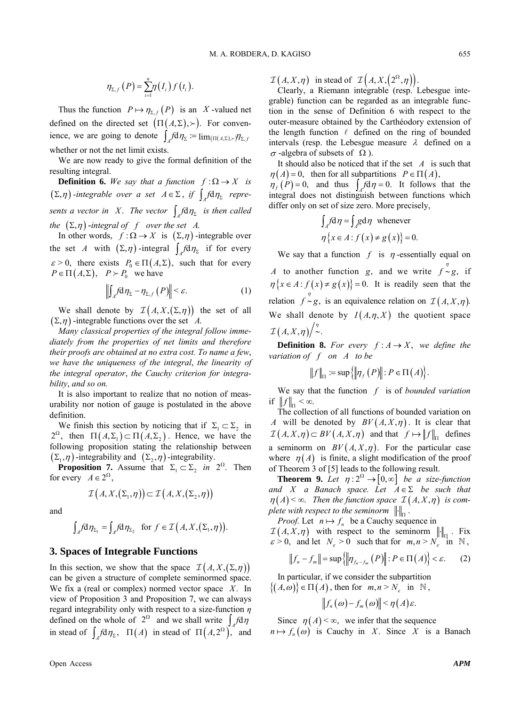$$
\eta_{\Sigma,f}\left(P\right)=\sum_{i=1}^n\!\eta\left(I_i\right)f\left(t_i\right).
$$

Thus the function  $P \mapsto \eta_{\Sigma,f}(P)$  is an *X*-valued net defined on the directed set  $(\Pi(A,\Sigma),\succ)$ . For convenience, we are going to denote  $\int_A f \, \mathrm{d}\eta_z = \lim_{( \Pi(A,\Sigma),\cdot) \in \mathcal{P}_{\Sigma,f}}$ whether or not the net limit exists.

We are now ready to give the formal definition of the resulting integral.

**Definition 6.** We say that a function  $f: \Omega \to X$  is  $(\Sigma, \eta)$ -integrable over a set  $A \in \Sigma$ , if  $\int f d\eta_{\Sigma}$  repre*sents a vector in X. The vector*  $\int f d\eta_z$  *is then called the*  $(\Sigma, \eta)$ -integral of f over the set A.

In other words,  $f : \Omega \to X$  is  $(\Sigma, \eta)$ -integrable over the set *A* with  $(\Sigma, \eta)$ -integral  $\int_{\Sigma} f d\eta_{\Sigma}$  if for every  $\varepsilon > 0$ , there exists  $P_0 \in \Pi(A, \Sigma)$ , such that for every  $P \in \Pi(A, \Sigma)$ ,  $P \succ P_0$  we have

$$
\left\| \int_{A} f \, \mathrm{d}\eta_{\Sigma} - \eta_{\Sigma,f} \left( P \right) \right\| < \varepsilon. \tag{1}
$$

We shall denote by  $\mathcal{I}(A, X, (\Sigma, \eta))$  the set of all  $(\Sigma, \eta)$  -integrable functions over the set *A*.

*Many classical properties of the integral follow immediately from the properties of net limits and therefore their proofs are obtained at no extra cost. To name a few*, *we have the uniqueness of the integral*, *the linearity of the integral operator*, *the Cauchy criterion for integrability*, *and so on.*

It is also important to realize that no notion of measurability nor notion of gauge is postulated in the above definition.

We finish this section by noticing that if  $\Sigma_1 \subset \Sigma_2$  in  $2^{\Omega}$ , then  $\Pi(A, \Sigma_1) \subset \Pi(A, \Sigma_2)$ . Hence, we have the following proposition stating the relationship between  $(\Sigma_1, \eta)$  -integrability and  $(\Sigma_2, \eta)$  -integrability.

**Proposition 7.** Assume that  $\Sigma_1 \subset \Sigma_2$  in  $2^{\Omega}$ . Then for every  $A \in 2^{\Omega}$ ,

$$
\mathcal{I}(A, X, (\Sigma_1, \eta)) \subset \mathcal{I}(A, X, (\Sigma_2, \eta))
$$

and

$$
\int_{A} f \, \mathrm{d}\eta_{\Sigma_{1}} = \int_{A} f \, \mathrm{d}\eta_{\Sigma_{2}} \quad \text{for } f \in \mathcal{I} \left( A, X, \left( \Sigma_{1}, \eta \right) \right).
$$

#### **3. Spaces of Integrable Functions**

In this section, we show that the space  $\mathcal{I}(A, X, (\Sigma, \eta))$ We fix a (real or complex) normed vector space  $X$ . In can be given a structure of complete seminormed space. view of Proposition 3 and Proposition 7, we can always regard integrability only with respect to a size-function *η* defined on the whole of  $2^{\Omega}$  and we shall write  $\int_A f d\eta$ in stead of  $\int f d\eta_z$ ,  $\Pi(A)$  in stead of  $\Pi(A, 2^{\Omega})$ , and

 $\mathcal{I}(A, X, \eta)$  in stead of  $\mathcal{I}(A, X, (2^{\Omega}, \eta)).$ 

Clearly, a Riemann integrable (resp. Lebesgue integrable) function can be regarded as an integrable function in the sense of Definition 6 with respect to the outer-measure obtained by the Carthéodory extension of the length function  $\ell$  defined on the ring of bounded intervals (resp. the Lebesgue measure  $\lambda$  defined on a  $\sigma$ -algebra of subsets of  $\Omega$ ).

It should also be noticed that if the set *A* is such that  $p(A) = 0$ , then for all subpartitions  $P \in \Pi(A)$ ,  $\eta_f(P) = 0$ , and thus  $\int_A f d\eta = 0$ . It follows that the integral does not distinguish between functions which differ only on set of size zero. More precisely,

$$
\int_{A} f d\eta = \int_{A} g d\eta \text{ whenever}
$$
  

$$
\eta \{x \in A : f(x) \neq g(x)\} = 0.
$$

We say that a function  $f$  is  $\eta$ -essentially equal on *A* to another function *g*, and we write  $f \sim g$ , if  $\eta\{x \in A : f(x) \neq g(x)\} = 0$ . It is readily seen that the relation  $f \sim g$ , is an equivalence relation on  $\mathcal{I}(A, X, \eta)$ . We shall denote by  $I(A,\eta,X)$  the quotient space  $\mathcal{I}(A, X, \eta)\bigg/\bigg.^{\eta}.$ 

**Definition 8.** For every  $f : A \rightarrow X$ , we define the *variation of f on A to be*

$$
||f||_{\Pi} := \sup \{||\eta_f(P)|| : P \in \Pi(A) \}.
$$

We say that the function *f* is of *bounded variation*  if  $||f||_{\Pi} < \infty$ .

The collection of all functions of bounded variation on *A* will be denoted by  $BV(A, X, \eta)$ . It is clear that  $\mathcal{I}(A, X, \eta) \subset BV(A, X, \eta)$  and that  $f \mapsto ||f||_{\eta}$  defines a seminorm on  $BV(A, X, \eta)$ . For the particular case where  $\eta(A)$  is finite, a slight modification of the proof of Theorem 3 of [5] leads to the following result.

**Theorem 9.** Let  $\eta: 2^{\Omega} \to [0,\infty]$  be a size-function and *X* a Banach space. Let  $A \in \Sigma$  be such that  $\eta(A)$  <  $\infty$ . Then the function space  $\mathcal{I}(A, X, \eta)$  is com*plete with respect to the seminorm*  $\|\cdot\|_{\mathbb{H}}$ .

*Proof.* Let  $n \mapsto f_n$  be a Cauchy sequence in

 $\mathcal{I}(A, X, \eta)$  with respect to the seminorm  $\left\| \cdot \right\|_{\mathbb{H}}$ . Fix  $\varepsilon > 0$ , and let  $N_{\varepsilon} > 0$  such that for  $m, n > N_{\varepsilon}$  in  $\mathbb{N}$ ,

$$
||f_n - f_m|| = \sup \{ ||\eta_{f_n - f_m}(P)|| : P \in \Pi(A) \} < \varepsilon. \qquad (2)
$$

In particular, if we consider the subpartition  $\{(A, \omega)\}\in \Pi(A)$ , then for  $m, n \geq N_{\varepsilon}$  in  $\mathbb{N}$ ,

$$
\|f_n(\omega)-f_m(\omega)\|<\eta(A)\varepsilon.
$$

Since  $\eta(A) < \infty$ , we infer that the sequence  $n \mapsto f_n(\omega)$  is Cauchy in *X*. Since *X* is a Banach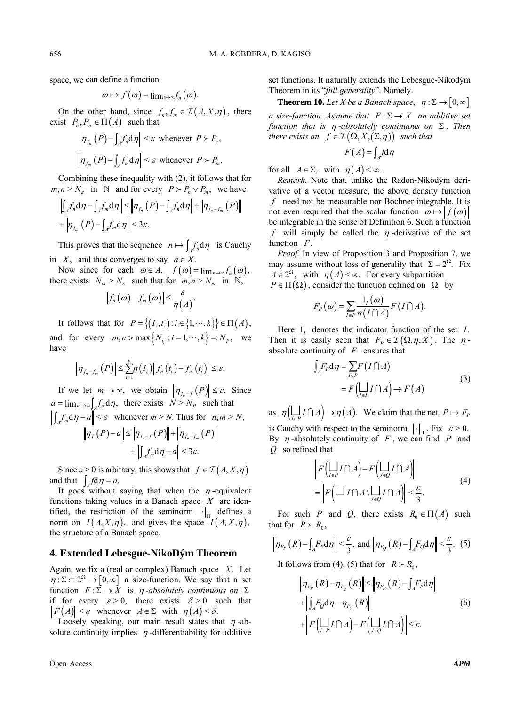space, we can define a function

$$
\omega \mapsto f(\omega) = \lim_{n \to \infty} f_n(\omega).
$$

On the other hand, since  $f_n, f_m \in \mathcal{I}(A, X, \eta)$ , there exist  $P_n, P_m \in \Pi(A)$  such that

$$
\|\eta_{f_n}(P) - \int_A f_n \, \mathrm{d}\eta\| < \varepsilon \text{ whenever } P > P_n,
$$
\n
$$
\|\eta_{f_m}(P) - \int_A f_m \, \mathrm{d}\eta\| < \varepsilon \text{ whenever } P > P_n.
$$

Combining these inequality with (2), it follows that for  $m, n > N_c$  in N and for every  $P > P_n \vee P_m$ , we have

$$
\left\|\int_{A} f_n \, \mathrm{d}\eta - \int_{A} f_m \, \mathrm{d}\eta \right\| \leq \left\|\eta_{f_n}\left(P\right) - \int_{A} f_n \, \mathrm{d}\eta \right\| + \left\|\eta_{f_n - f_m}\left(P\right)\right\| + \left\|\eta_{f_m}\left(P\right) - \int_{A} f_m \, \mathrm{d}\eta \right\| < 3\varepsilon.
$$

This proves that the sequence  $n \mapsto \int_{a}^{b} f_n d\eta$  is Cauchy in *X*, and thus converges to say  $a \in X$ .

Now since for each  $\omega \in A$ ,  $f(\omega) = \lim_{n \to \infty} f_n(\omega)$ , there exists  $N_{\varphi} > N_{\varepsilon}$  such that for  $m, n > N_{\varphi}$  in  $\mathbb{N}$ ,

$$
\left\|f_n(\omega)-f_m(\omega)\right\|\leq \frac{\varepsilon}{\eta(A)}.
$$

It follows that for  $P = \{(I_i, t_i) : i \in \{1, \dots, k\}\}\in \Pi(A)$ , and for every  $m, n > \max\{N_{t_i} : i = 1, \dots, k\} = N_p$ , we have

$$
\left\|\eta_{f_n-f_m}\left(P\right)\right\|\leq \sum_{i=1}^k \eta\left(I_i\right)\left\|f_n\left(t_i\right)-f_m\left(t_i\right)\right\|\leq \varepsilon.
$$

If we let  $m \to \infty$ , we obtain  $\|\eta_{f_n-f}(P)\| \leq \varepsilon$ . Since  $a = \lim_{m \to \infty} \int_{A} f_m d\eta$ , there exists  $N > N_p$  such that  $\left\| \int_{a}^{b} f_m \, d\eta - a \right\| \leq \varepsilon$  whenever  $m > N$ . Thus for  $n, m > N$ ,

$$
\|\eta_f(P)-a\| \le \left\|\eta_{f_n-f}(P)\right\| + \left\|\eta_{f_n-f_m}(P)\right\| + \left\|\int_A f_m d\eta - a\right\| < 3\varepsilon.
$$

Since  $\varepsilon > 0$  is arbitrary, this shows that  $f \in \mathcal{I}(A, X, \eta)$ and that  $\int f d\eta = a$ .

It goes without saying that when the  $\eta$ -equivalent functions taking values in a Banach space *X* are identified, the restriction of the seminorm  $\|\cdot\|_{\Pi}$  defines a norm on  $I(A, X, \eta)$ , and gives the space  $I(A, X, \eta)$ , the structure of a Banach space.

## **4. Extended Lebesgue-NikoDým Theorem**

Again, we fix a (real or complex) Banach space *X*. Let  $\eta : \Sigma \subset 2^{\Omega} \to [0, \infty]$  a size-function. We say that a set function  $F: \Sigma \to X$  is  $\eta$ -absolutely continuous on  $\Sigma$ if for every  $\varepsilon > 0$ , there exists  $\delta > 0$  such that  $\|F(A)\| \leq \varepsilon$  whenever  $A \in \Sigma$  with  $\eta(A) \leq \delta$ .

Loosely speaking, our main result states that  $\eta$ -absolute continuity implies  $\eta$ -differentiability for additive set functions. It naturally extends the Lebesgue-Nikodým Theorem in its "*full generality*". Namely.

**Theorem 10.** Let *X* be a Banach space,  $\eta : \Sigma \to [0, \infty]$ *a size-function. Assume that*  $F: \Sigma \rightarrow X$  *an additive set function that is*  $\eta$ *-absolutely continuous on*  $\Sigma$ . Then *there exists an*  $f \in \mathcal{I}(\Omega, X, (\Sigma, \eta))$  *such that* 

$$
F(A) = \int_A f \, \mathrm{d}\eta
$$

for all  $A \in \Sigma$ , with  $\eta(A) < \infty$ .

*Remark*. Note that, unlike the Radon-Nikodým derivative of a vector measure, the above density function *f* need not be measurable nor Bochner integrable. It is not even required that the scalar function  $\omega \mapsto ||f(\omega)||$ be integrable in the sense of Definition 6. Such a function f will simply be called the  $\eta$ -derivative of the set function *F*.

*Proof.* In view of Proposition 3 and Proposition 7, we may assume without loss of generality that  $\Sigma = 2^{\Omega}$ . Fix  $A \in 2^{\Omega}$ , with  $\eta(A) < \infty$ . For every subpartition

 $P \in \Pi(\Omega)$ , consider the function defined on  $\Omega$  by

$$
F_P(\omega) = \sum_{I \in P} \frac{1_I(\omega)}{\eta(I \cap A)} F(I \cap A).
$$

Here  $1<sub>I</sub>$  denotes the indicator function of the set *I*. Then it is easily seen that  $F_p \in \mathcal{I}(\Omega, \eta, X)$ . The  $\eta$ absolute continuity of *F* ensures that

$$
\int_{A} F_{P} d\eta = \sum_{I \in P} F(I \cap A)
$$
\n
$$
= F\left(\bigcup_{I \in P} I \cap A\right) \to F(A)
$$
\n(3)

as  $\eta\left(\bigcup_{I\in P} I\cap A\right) \to \eta(A)$ . We claim that the net  $P \mapsto F_P$ is Cauchy with respect to the seminorm  $\left\| \cdot \right\|_{\Pi}$ . Fix  $\varepsilon > 0$ . By  $\eta$ -absolutely continuity of F, we can find P and *Q* so refined that

$$
\begin{aligned} &\left\| F\left(\bigcup_{I\in P} I \cap A\right) - F\left(\bigcup_{J\in Q} I \cap A\right) \right\| \\ &= \left\| F\left(\bigcup I \cap A \setminus \bigcup_{J\in Q} I \cap A\right) \right\| < \frac{\varepsilon}{3}. \end{aligned} \tag{4}
$$

For such *P* and *Q*, there exists  $R_0 \in \Pi(A)$  such that for  $R \succ R_0$ ,

$$
\left\|\eta_{F_P}(R) - \int_A F_P d\eta\right\| < \frac{\varepsilon}{3}
$$
, and  $\left\|\eta_{F_Q}(R) - \int_A F_Q d\eta\right\| < \frac{\varepsilon}{3}$ . (5)

It follows from (4), (5) that for  $R > R_0$ ,

$$
\|\eta_{F_P}(R) - \eta_{F_Q}(R)\| \le \|\eta_{F_P}(R) - \int_A F_P d\eta\|
$$
  
+ 
$$
\left\|\int_A F_Q d\eta - \eta_{F_Q}(R)\right\|
$$
  
+ 
$$
\left\|F\left(\bigcup_{I \in P} I \cap A\right) - F\left(\bigcup_{J \in Q} I \cap A\right)\right\| \le \varepsilon.
$$
 (6)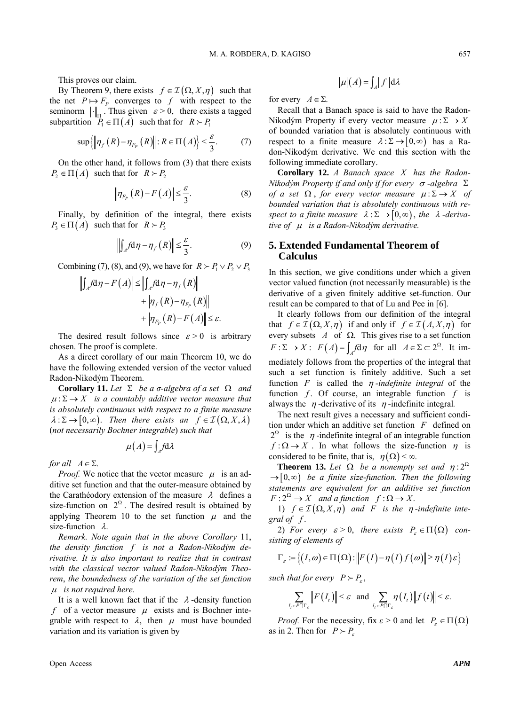This proves our claim.

By Theorem 9, there exists  $f \in \mathcal{I}(\Omega, X, \eta)$  such that the net  $P \mapsto F_P$  converges to f with respect to the seminorm  $\|\cdot\|_{\Pi}$ . Thus given  $\varepsilon > 0$ , there exists a tagged subpartition  $P_1 \in \Pi(A)$  such that for  $R \succ P_1$ 

$$
\sup\left\{\left\|\eta_f\left(R\right)-\eta_{F_P}\left(R\right)\right\|:R\in\Pi\left(A\right)\right\}<\frac{\varepsilon}{3}.\tag{7}
$$

On the other hand, it follows from  $(3)$  that there exists  $P_2 \in \Pi(A)$  such that for  $R \succ P_2$ 

$$
\left\| \eta_{F_P} \left( R \right) - F \left( A \right) \right\| \leq \frac{\varepsilon}{3}.
$$
 (8)

Finally, by definition of the integral, there exists  $P_3 \in \Pi(A)$  such that for  $R \succ P_3$ 

$$
\left\| \int_{A} f \, \mathrm{d}\eta - \eta_{f} \left( R \right) \right\| \leq \frac{\varepsilon}{3}.
$$

Combining (7), (8), and (9), we have for  $R > P_1 \vee P_2 \vee P_3$ 

$$
\left\| \int_{A} f d\eta - F(A) \right\| \le \left\| \int_{A} f d\eta - \eta_{f}(R) \right\|
$$
  
+ 
$$
\left\| \eta_{f}(R) - \eta_{F_{P}}(R) \right\|
$$
  
+ 
$$
\left\| \eta_{F_{P}}(R) - F(A) \right\| \le \varepsilon.
$$

The desired result follows since  $\varepsilon > 0$  is arbitrary chosen. The proof is complete.

As a direct corollary of our main Theorem 10, we do have the following extended version of the vector valued Radon-Nikodým Theorem.

**Corollary 11.** Let  $\Sigma$  be a σ-algebra of a set  $\Omega$  and  $\mu: \Sigma \rightarrow X$  is a countably additive vector measure that *is absolutely continuous with respect to a finite measure*  $\lambda: \Sigma \to [0, \infty)$ . Then there exists an  $f \in \mathcal{I}(\Omega, X, \lambda)$ (*not necessarily Bochner integrable*) *such that* 

$$
\mu(A) = \int_A f \, \mathrm{d}\lambda
$$

*for all*  $A \in \Sigma$ .

*Proof.* We notice that the vector measure  $\mu$  is an additive set function and that the outer-measure obtained by the Carathéodory extension of the measure  $\lambda$  defines a size-function on  $2^{\Omega}$ . The desired result is obtained by applying Theorem 10 to the set function  $\mu$  and the size-function  $\lambda$ .

Remark. Note again that in the above Corollary 11, *the density function f is not a Radon-Nikodým derivative. It is also important to realize that in contrast with the classical vector valued Radon-Nikodým Theorem*, *the boundedness of the variation of the set function is not required here.*

It is a well known fact that if the  $\lambda$ -density function *f* of a vector measure  $\mu$  exists and is Bochner integrable with respect to  $\lambda$ , then  $\mu$  must have bounded variation and its variation is given by

$$
|\mu|(A) = \int_A ||f|| d\lambda
$$

for every  $A \in \Sigma$ .

Recall that a Banach space is said to have the Radon-Nikodým Property if every vector measure  $\mu : \Sigma \to X$ of bounded variation that is absolutely cont inuous with respect to a finite measure  $\lambda : \Sigma \to [0, \infty)$  has a Radon-Nikodým derivative. We end this section with the following immediate corollary.

**Corollary 12.** *A Banach space X has the Radon-Nikodým Property if and only if for every*  $\sigma$ -algebra  $\Sigma$ *of a set*  $\Omega$ , *for every vector measure*  $\mu : \Sigma \to X$  *of* bounded variation that is absolutely continuous with re*spect to a finite measure*  $\lambda : \Sigma \rightarrow [0, \infty)$ , the  $\lambda$  -deriva*tive of is a Radon-Nikodým derivative.*

#### **5. Extended Fundamental Theorem of Calculus**

In this section, we give conditions under which a given vector valued function (not necessarily measurable) is the derivative of a given finitely additive set-function. Our result can be compared to that of Lu and Pee in [6].

It clearly follows from our definition of the integral that  $f \in \mathcal{I}(\Omega, X, \eta)$  if and only if  $f \in \mathcal{I}(A, X, \eta)$  for every subsets  $A$  of  $\Omega$ . This gives rise to a set function  $F: \Sigma \to X: F(A) = \int_A f \, \mathrm{d}\eta$  for all  $A \in \Sigma \subset 2^{\Omega}$ . It immediately follows from the properties of the integral that such a set function is finitely additive. Such a set function  $F$  is called the  $\eta$ -indefinite integral of the function *f* . Of course, an integrable function *f* is always the  $\eta$ -derivative of its  $\eta$ -indefinite integral.

The next result gives a necessary and sufficient condition under which an additive set function  $F$  defined on  $2^{\Omega}$  is the  $\eta$ -indefinite integral of an integrable function  $f : \Omega \to X$ . In what follows the size-function  $\eta$  is considered to be finite, that is,  $\eta(\Omega) < \infty$ .

**Theorem 13.** Let  $\Omega$  be a nonempty set and  $\eta : 2^{\Omega}$  $\rightarrow$  [0, $\infty$ ) *be a finite size-function. Then the following* statements are equivalent for an additive set function  $F: 2^{\Omega} \to X$  and a function  $f: \Omega \to X$ .

1)  $f \in \mathcal{I}(\Omega, X, \eta)$  and *F* is the *n*-indefinite inte*gral of f* .

2) For every  $\varepsilon > 0$ , there exists  $P_{\varepsilon} \in \Pi(\Omega)$  con*sisting of elements of*

$$
\Gamma_{\varepsilon} := \left\{ (I, \omega) \in \Pi(\Omega) : \left\| F(I) - \eta(I) f(\omega) \right\| \ge \eta(I) \varepsilon \right\}
$$

*such that for every*  $P \succ P_{\varepsilon}$ ,

$$
\sum_{I_t \in P \cap \Gamma_{\varepsilon}} \left\| F(I_t) \right\| < \varepsilon \quad \text{and} \quad \sum_{I_t \in P \cap \Gamma_{\varepsilon}} \eta \left( I_t \right) \left\| f(t) \right\| < \varepsilon.
$$

*Proof.* For the necessity, fix  $\varepsilon > 0$  and let  $P_{\varepsilon} \in \Pi(\Omega)$ as in 2. Then for  $P \succ P_c$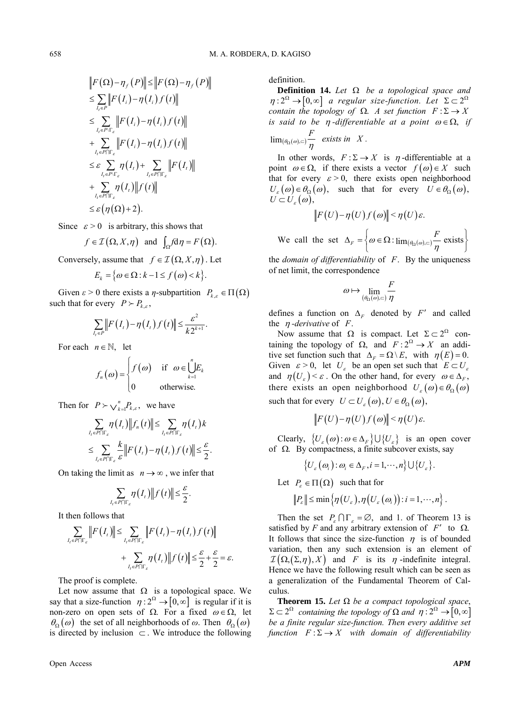$$
\|F(\Omega) - \eta_f(P)\| \le \|F(\Omega) - \eta_f(P)\|
$$
\n
$$
\le \sum_{I_i \in P} \|F(I_i) - \eta(I_i)f(t)\|
$$
\n
$$
\le \sum_{I_i \in P \backslash \Gamma_{\varepsilon}} \|F(I_i) - \eta(I_i)f(t)\|
$$
\n
$$
+ \sum_{I_i \in P \backslash \Gamma_{\varepsilon}} \|F(I_i) - \eta(I_i)f(t)\|
$$
\n
$$
\le \varepsilon \sum_{I_i \in P \backslash \Gamma_{\varepsilon}} \eta(I_i) + \sum_{I_i \in P \backslash \Gamma_{\varepsilon}} \|F(I_i)\|
$$
\n
$$
+ \sum_{I_i \in P \backslash \Gamma_{\varepsilon}} \eta(I_i) \|f(t)\|
$$
\n
$$
\le \varepsilon (\eta(\Omega) + 2).
$$

Since  $\varepsilon > 0$  is arbitrary, this shows that

$$
f \in \mathcal{I}(\Omega, X, \eta)
$$
 and  $\int_{\Omega} f d\eta = F(\Omega)$ .

Conversely, assume that  $f \in \mathcal{I}(\Omega, X, \eta)$ . Let

$$
E_k = \{ \omega \in \Omega : k - 1 \le f(\omega) < k \}.
$$

Given  $\varepsilon > 0$  there exists a *η*-subpartition  $P_{k,\varepsilon} \in \Pi(\Omega)$ such that for every  $P \succ P_{k,\varepsilon}$ ,

$$
\sum_{I_t\in P} \left\| F\left(I_t\right) - \eta\left(I_t\right) f\left(t\right) \right\| \leq \frac{\varepsilon^2}{k2^{k+1}}.
$$

For each  $n \in \mathbb{N}$ , let

$$
f_n(\omega) = \begin{cases} f(\omega) & \text{if } \omega \in \bigcup_{k=1}^n E_k \\ 0 & \text{otherwise.} \end{cases}
$$

Then for  $P \succ \bigvee_{k=1}^{n} P_{k,\varepsilon}$ , we have

$$
\sum_{I_t \in P \cap \Gamma_{\varepsilon}} \eta(I_t) \|f_n(t)\| \leq \sum_{I_t \in P \cap \Gamma_{\varepsilon}} \eta(I_t) k
$$
  

$$
\leq \sum_{I_t \in P \cap \Gamma_{\varepsilon}} \frac{k}{\varepsilon} \|F(I_t) - \eta(I_t) f(t)\| \leq \frac{\varepsilon}{2}.
$$

On taking the limit as  $n \to \infty$ , we infer that

$$
\sum_{I_t \in P \cap \Gamma_{\varepsilon}} \eta(I_t) \|f(t)\| \leq \frac{\varepsilon}{2}.
$$

It then follows that

$$
\sum_{I_t \in P \cap \Gamma_{\varepsilon}} \left\| F(I_t) \right\| \le \sum_{I_t \in P \cap \Gamma_{\varepsilon}} \left\| F(I_t) - \eta(I_t) f(t) \right\|
$$
  
+ 
$$
\sum_{I_t \in P \cap \Gamma_{\varepsilon}} \eta(I_t) \left\| f(t) \right\| \le \frac{\varepsilon}{2} + \frac{\varepsilon}{2} = \varepsilon.
$$

The proof is complete.

Let now assume that  $\Omega$  is a topological space. We say that a size-function  $\eta: 2^{\Omega} \to [0, \infty]$  is regular if it is non-zero on open sets of  $\Omega$ . For a fixed  $\omega \in \Omega$ , let  $\theta$ <sub>o</sub> $(\omega)$  the set of all neighborhoods of  $\omega$ . Then  $\theta$ <sub>o</sub> $(\omega)$  $v_{\Omega}(w)$  are set of an ineignoomoods of w. Then  $v_{\Omega}(w)$  is directed by inclusion  $\subset$ . We introduce the following definition.

**Definition 14.** Let  $\Omega$  be a topological space and  $\eta: 2^{\Omega} \to [0, \infty]$  a regular size-function. Let  $\Sigma \subset 2^{\Omega}$ *contain the topology of*  $\Omega$ . *A set function*  $F: \Sigma \rightarrow X$ *is said to be*  $\eta$ *-differentiable at a point*  $\omega \in \Omega$ *, if*  $\lim_{(\theta_{\Omega}(\omega),\subset)}\frac{F}{\eta}$  exists in X.

In other words,  $F: \Sigma \to X$  is  $\eta$ -differentiable at a point  $\omega \in \Omega$ , if there exists a vector  $f(\omega) \in X$  such that for every  $\varepsilon > 0$ , there exists open neighborhood  $U_{\varepsilon}(\omega) \in \theta_{\Omega}(\omega)$ , such that for every  $U \in \theta_{\Omega}(\omega)$ ,  $U \subset U_{\epsilon}(\omega),$ 

$$
\big\|F(U)-\eta(U)f(\omega)\big\|<\eta(U)\varepsilon.
$$

We call the set 
$$
\Delta_F = \left\{ \omega \in \Omega : \lim_{(\theta_{\Omega}(\omega), c)} \frac{F}{\eta} \text{ exists} \right\}
$$

the *domain of differentiability* of *F*. By the uniqueness of net limit, the correspondence

$$
\omega \mapsto \lim_{(\theta_{\Omega}(\omega),\subset)} \frac{F}{\eta}
$$

defines a function on  $\Delta_F$  denoted by *F'* and called the  $\eta$ -derivative of  $F$ .

Now assume that  $\Omega$  is compact. Let  $\Sigma \subset 2^{\Omega}$  containing the topology of  $\Omega$ , and  $F: 2^{\Omega} \to X$  an additive set function such that  $\Delta_F = \Omega \setminus E$ , with  $\eta(E) = 0$ . Given  $\varepsilon > 0$ , let  $U_{\varepsilon}$  be an open set such that  $E \subset U_{\varepsilon}$ and  $\eta(U_{\varepsilon}) < \varepsilon$ . On the other hand, for every  $\omega \in \Delta_F$ , there exists an open neighborhood  $U<sub>s</sub>(\omega) \in \theta<sub>o</sub>(\omega)$ such that for every  $U \subset U_{\varepsilon}(\omega)$ ,  $U \in \theta_{\Omega}(\omega)$ ,

$$
\big\|F(U)-\eta(U)f(\omega)\big\|<\eta(U)\varepsilon.
$$

Clearly,  $\{U_{\varepsilon}(\omega): \omega \in \Delta_F\} \cup \{U_{\varepsilon}\}\$ is an open cover of  $\Omega$ . By compactness, a finite subcover exists, say

$$
\left\{U_{\varepsilon}\left(\omega_{i}\right): \omega_{i} \in \Delta_{F}, i=1,\cdots,n\right\} \cup \left\{U_{\varepsilon}\right\}.
$$

Let  $P_{\varepsilon} \in \Pi(\Omega)$  such that for

$$
||P_{\varepsilon}|| \leq \min \left\{ \eta(U_{\varepsilon}), \eta(U_{\varepsilon}(\omega_{i})): i = 1, \cdots, n \right\}.
$$

Then the set  $P_{\varepsilon} \cap \Gamma_{\varepsilon} = \emptyset$ , and 1. of Theorem 13 is satisfied by *F* and any arbitrary extension of  $F'$  to  $\Omega$ . It follows that since the size-function  $\eta$  is of bounded variation, then any such extension is an element of  $\mathcal{I}(\Omega,(\Sigma,\eta), X)$  and *F* is its  $\eta$ -indefinite integral. Hence we have the following result which can be seen as a generalization of the Fundamental Theorem of Calcu lus.

**Theorem 15.** Let  $\Omega$  be a compact topological space,  $\Sigma \subset 2^{\Omega}$  *containing the topology of*  $\Omega$  *and*  $\eta : 2^{\Omega} \to [0, \infty]$ be a finite regular size-function. Then every additive set function  $F: \Sigma \to X$  with domain of differentiability